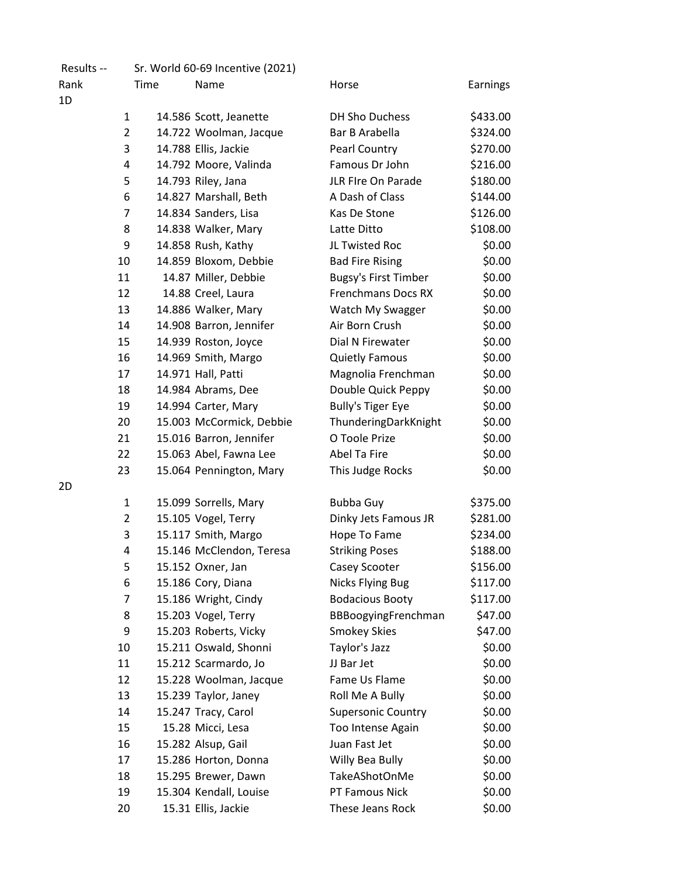| Results -- |                |      | Sr. World 60-69 Incentive (2021) |                             |          |
|------------|----------------|------|----------------------------------|-----------------------------|----------|
| Rank       |                | Time | Name                             | Horse                       | Earnings |
| 1D         |                |      |                                  |                             |          |
|            | $\mathbf{1}$   |      | 14.586 Scott, Jeanette           | <b>DH Sho Duchess</b>       | \$433.00 |
|            | $\overline{2}$ |      | 14.722 Woolman, Jacque           | Bar B Arabella              | \$324.00 |
|            | 3              |      | 14.788 Ellis, Jackie             | Pearl Country               | \$270.00 |
|            | 4              |      | 14.792 Moore, Valinda            | Famous Dr John              | \$216.00 |
|            | 5              |      | 14.793 Riley, Jana               | JLR FIre On Parade          | \$180.00 |
|            | 6              |      | 14.827 Marshall, Beth            | A Dash of Class             | \$144.00 |
|            | $\overline{7}$ |      | 14.834 Sanders, Lisa             | Kas De Stone                | \$126.00 |
|            | 8              |      | 14.838 Walker, Mary              | Latte Ditto                 | \$108.00 |
|            | 9              |      | 14.858 Rush, Kathy               | JL Twisted Roc              | \$0.00   |
|            | 10             |      | 14.859 Bloxom, Debbie            | <b>Bad Fire Rising</b>      | \$0.00   |
|            | 11             |      | 14.87 Miller, Debbie             | <b>Bugsy's First Timber</b> | \$0.00   |
|            | 12             |      | 14.88 Creel, Laura               | <b>Frenchmans Docs RX</b>   | \$0.00   |
|            | 13             |      | 14.886 Walker, Mary              | Watch My Swagger            | \$0.00   |
|            | 14             |      | 14.908 Barron, Jennifer          | Air Born Crush              | \$0.00   |
|            | 15             |      | 14.939 Roston, Joyce             | Dial N Firewater            | \$0.00   |
|            | 16             |      | 14.969 Smith, Margo              | <b>Quietly Famous</b>       | \$0.00   |
|            | 17             |      | 14.971 Hall, Patti               | Magnolia Frenchman          | \$0.00   |
|            | 18             |      | 14.984 Abrams, Dee               | Double Quick Peppy          | \$0.00   |
|            | 19             |      | 14.994 Carter, Mary              | <b>Bully's Tiger Eye</b>    | \$0.00   |
|            | 20             |      | 15.003 McCormick, Debbie         | ThunderingDarkKnight        | \$0.00   |
|            | 21             |      | 15.016 Barron, Jennifer          | O Toole Prize               | \$0.00   |
|            | 22             |      | 15.063 Abel, Fawna Lee           | Abel Ta Fire                | \$0.00   |
|            | 23             |      | 15.064 Pennington, Mary          | This Judge Rocks            | \$0.00   |
| 2D         |                |      |                                  |                             |          |
|            | $\mathbf{1}$   |      | 15.099 Sorrells, Mary            | <b>Bubba Guy</b>            | \$375.00 |
|            | $\overline{2}$ |      | 15.105 Vogel, Terry              | Dinky Jets Famous JR        | \$281.00 |
|            | 3              |      | 15.117 Smith, Margo              | Hope To Fame                | \$234.00 |
|            | 4              |      | 15.146 McClendon, Teresa         | <b>Striking Poses</b>       | \$188.00 |
|            | 5              |      | 15.152 Oxner, Jan                | Casey Scooter               | \$156.00 |
|            | 6              |      | 15.186 Cory, Diana               | <b>Nicks Flying Bug</b>     | \$117.00 |
|            | 7              |      | 15.186 Wright, Cindy             | <b>Bodacious Booty</b>      | \$117.00 |
|            | 8              |      | 15.203 Vogel, Terry              | BBBoogyingFrenchman         | \$47.00  |
|            | 9              |      | 15.203 Roberts, Vicky            | <b>Smokey Skies</b>         | \$47.00  |
|            | 10             |      | 15.211 Oswald, Shonni            | Taylor's Jazz               | \$0.00   |
|            | 11             |      | 15.212 Scarmardo, Jo             | JJ Bar Jet                  | \$0.00   |
|            | 12             |      | 15.228 Woolman, Jacque           | Fame Us Flame               | \$0.00   |
|            | 13             |      | 15.239 Taylor, Janey             | Roll Me A Bully             | \$0.00   |
|            | 14             |      | 15.247 Tracy, Carol              | <b>Supersonic Country</b>   | \$0.00   |
|            | 15             |      | 15.28 Micci, Lesa                | Too Intense Again           | \$0.00   |
|            | 16             |      | 15.282 Alsup, Gail               | Juan Fast Jet               | \$0.00   |
|            | 17             |      | 15.286 Horton, Donna             | Willy Bea Bully             | \$0.00   |
|            | 18             |      | 15.295 Brewer, Dawn              | TakeAShotOnMe               | \$0.00   |
|            | 19             |      | 15.304 Kendall, Louise           | PT Famous Nick              | \$0.00   |
|            | 20             |      | 15.31 Ellis, Jackie              | These Jeans Rock            | \$0.00   |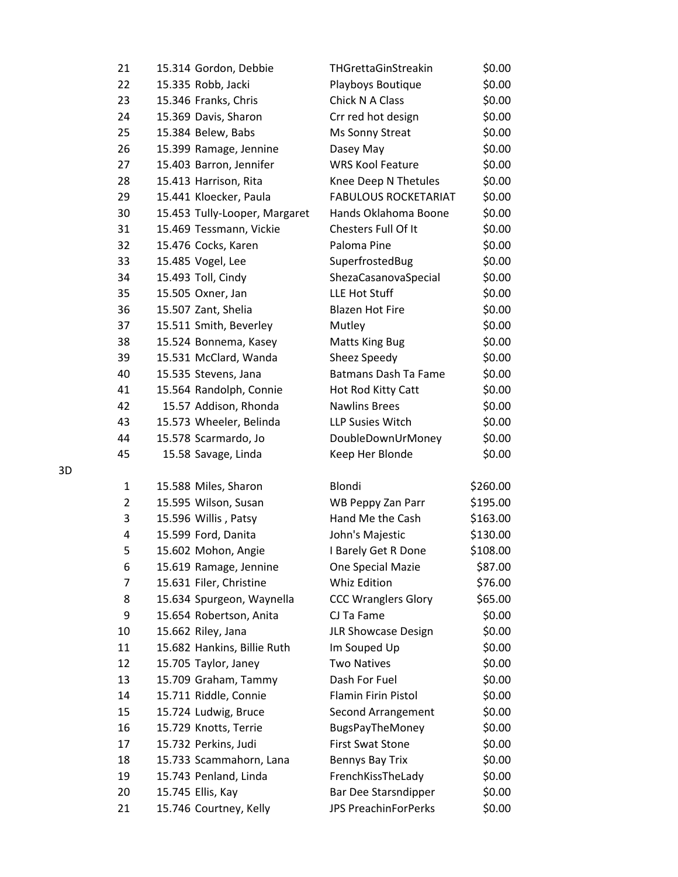| 21       | 15.314 Gordon, Debbie         | THGrettaGinStreakin         | \$0.00   |
|----------|-------------------------------|-----------------------------|----------|
| 22       | 15.335 Robb, Jacki            | Playboys Boutique           | \$0.00   |
| 23       | 15.346 Franks, Chris          | Chick N A Class             | \$0.00   |
| 24       | 15.369 Davis, Sharon          | Crr red hot design          | \$0.00   |
| 25       | 15.384 Belew, Babs            | Ms Sonny Streat             | \$0.00   |
| 26       | 15.399 Ramage, Jennine        | Dasey May                   | \$0.00   |
| 27       | 15.403 Barron, Jennifer       | <b>WRS Kool Feature</b>     | \$0.00   |
| 28       | 15.413 Harrison, Rita         | Knee Deep N Thetules        | \$0.00   |
| 29       | 15.441 Kloecker, Paula        | <b>FABULOUS ROCKETARIAT</b> | \$0.00   |
| 30       | 15.453 Tully-Looper, Margaret | Hands Oklahoma Boone        | \$0.00   |
| 31       | 15.469 Tessmann, Vickie       | Chesters Full Of It         | \$0.00   |
| 32       | 15.476 Cocks, Karen           | Paloma Pine                 | \$0.00   |
| 33       | 15.485 Vogel, Lee             | SuperfrostedBug             | \$0.00   |
| 34       | 15.493 Toll, Cindy            | ShezaCasanovaSpecial        | \$0.00   |
| 35       | 15.505 Oxner, Jan             | LLE Hot Stuff               | \$0.00   |
| 36       | 15.507 Zant, Shelia           | <b>Blazen Hot Fire</b>      | \$0.00   |
| 37       | 15.511 Smith, Beverley        | Mutley                      | \$0.00   |
| 38       | 15.524 Bonnema, Kasey         | <b>Matts King Bug</b>       | \$0.00   |
| 39       | 15.531 McClard, Wanda         | Sheez Speedy                | \$0.00   |
| 40       | 15.535 Stevens, Jana          | <b>Batmans Dash Ta Fame</b> | \$0.00   |
| 41       | 15.564 Randolph, Connie       | Hot Rod Kitty Catt          | \$0.00   |
| 42       | 15.57 Addison, Rhonda         | <b>Nawlins Brees</b>        | \$0.00   |
| 43       | 15.573 Wheeler, Belinda       | <b>LLP Susies Witch</b>     | \$0.00   |
| 44       | 15.578 Scarmardo, Jo          | DoubleDownUrMoney           | \$0.00   |
| 45       | 15.58 Savage, Linda           | Keep Her Blonde             | \$0.00   |
|          |                               |                             |          |
| 1        | 15.588 Miles, Sharon          | Blondi                      | \$260.00 |
| 2        | 15.595 Wilson, Susan          | <b>WB Peppy Zan Parr</b>    | \$195.00 |
| 3        | 15.596 Willis, Patsy          | Hand Me the Cash            | \$163.00 |
| 4        | 15.599 Ford, Danita           | John's Majestic             | \$130.00 |
| 5        | 15.602 Mohon, Angie           | I Barely Get R Done         | \$108.00 |
| 6        | 15.619 Ramage, Jennine        | One Special Mazie           | \$87.00  |
| 7        | 15.631 Filer, Christine       | <b>Whiz Edition</b>         | \$76.00  |
| 8        | 15.634 Spurgeon, Waynella     | <b>CCC Wranglers Glory</b>  | \$65.00  |
| 9        | 15.654 Robertson, Anita       | CJ Ta Fame                  | \$0.00   |
| 10       | 15.662 Riley, Jana            | JLR Showcase Design         | \$0.00   |
| 11       | 15.682 Hankins, Billie Ruth   | Im Souped Up                | \$0.00   |
| 12       | 15.705 Taylor, Janey          | <b>Two Natives</b>          | \$0.00   |
| 13       | 15.709 Graham, Tammy          | Dash For Fuel               | \$0.00   |
| 14<br>15 | 15.711 Riddle, Connie         | Flamin Firin Pistol         | \$0.00   |
|          | 15.724 Ludwig, Bruce          | Second Arrangement          | \$0.00   |
| 16       | 15.729 Knotts, Terrie         | <b>BugsPayTheMoney</b>      | \$0.00   |
| 17       | 15.732 Perkins, Judi          | <b>First Swat Stone</b>     | \$0.00   |
| 18       | 15.733 Scammahorn, Lana       | Bennys Bay Trix             | \$0.00   |
| 19       | 15.743 Penland, Linda         | FrenchKissTheLady           | \$0.00   |
| 20       | 15.745 Ellis, Kay             | Bar Dee Starsndipper        | \$0.00   |
| 21       | 15.746 Courtney, Kelly        | JPS PreachinForPerks        | \$0.00   |

3D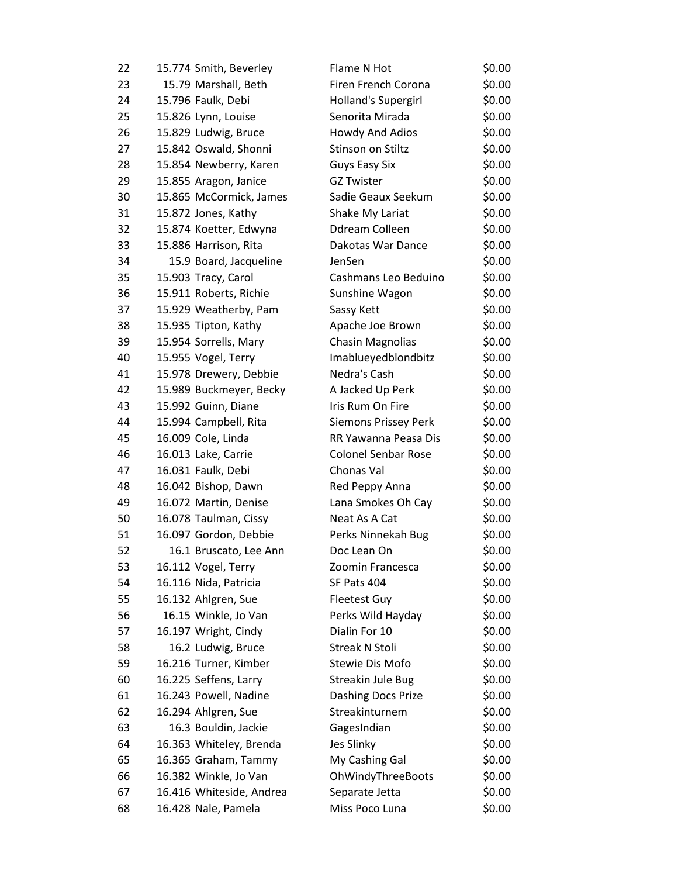| 22 | 15.774 Smith, Beverley   | Flame N Hot                | \$0.00 |
|----|--------------------------|----------------------------|--------|
| 23 | 15.79 Marshall, Beth     | Firen French Corona        | \$0.00 |
| 24 | 15.796 Faulk, Debi       | Holland's Supergirl        | \$0.00 |
| 25 | 15.826 Lynn, Louise      | Senorita Mirada            | \$0.00 |
| 26 | 15.829 Ludwig, Bruce     | Howdy And Adios            | \$0.00 |
| 27 | 15.842 Oswald, Shonni    | Stinson on Stiltz          | \$0.00 |
| 28 | 15.854 Newberry, Karen   | <b>Guys Easy Six</b>       | \$0.00 |
| 29 | 15.855 Aragon, Janice    | <b>GZ Twister</b>          | \$0.00 |
| 30 | 15.865 McCormick, James  | Sadie Geaux Seekum         | \$0.00 |
| 31 | 15.872 Jones, Kathy      | Shake My Lariat            | \$0.00 |
| 32 | 15.874 Koetter, Edwyna   | Ddream Colleen             | \$0.00 |
| 33 | 15.886 Harrison, Rita    | Dakotas War Dance          | \$0.00 |
| 34 | 15.9 Board, Jacqueline   | JenSen                     | \$0.00 |
| 35 | 15.903 Tracy, Carol      | Cashmans Leo Beduino       | \$0.00 |
| 36 | 15.911 Roberts, Richie   | Sunshine Wagon             | \$0.00 |
| 37 | 15.929 Weatherby, Pam    | Sassy Kett                 | \$0.00 |
| 38 | 15.935 Tipton, Kathy     | Apache Joe Brown           | \$0.00 |
| 39 | 15.954 Sorrells, Mary    | <b>Chasin Magnolias</b>    | \$0.00 |
| 40 | 15.955 Vogel, Terry      | Imablueyedblondbitz        | \$0.00 |
| 41 | 15.978 Drewery, Debbie   | Nedra's Cash               | \$0.00 |
| 42 | 15.989 Buckmeyer, Becky  | A Jacked Up Perk           | \$0.00 |
| 43 | 15.992 Guinn, Diane      | Iris Rum On Fire           | \$0.00 |
| 44 | 15.994 Campbell, Rita    | Siemons Prissey Perk       | \$0.00 |
| 45 | 16.009 Cole, Linda       | RR Yawanna Peasa Dis       | \$0.00 |
| 46 | 16.013 Lake, Carrie      | <b>Colonel Senbar Rose</b> | \$0.00 |
| 47 | 16.031 Faulk, Debi       | Chonas Val                 | \$0.00 |
| 48 | 16.042 Bishop, Dawn      | Red Peppy Anna             | \$0.00 |
| 49 | 16.072 Martin, Denise    | Lana Smokes Oh Cay         | \$0.00 |
| 50 | 16.078 Taulman, Cissy    | Neat As A Cat              | \$0.00 |
| 51 | 16.097 Gordon, Debbie    | Perks Ninnekah Bug         | \$0.00 |
| 52 | 16.1 Bruscato, Lee Ann   | Doc Lean On                | \$0.00 |
| 53 | 16.112 Vogel, Terry      | Zoomin Francesca           | \$0.00 |
| 54 | 16.116 Nida, Patricia    | SF Pats 404                | \$0.00 |
| 55 | 16.132 Ahlgren, Sue      | Fleetest Guy               | \$0.00 |
| 56 | 16.15 Winkle, Jo Van     | Perks Wild Hayday          | \$0.00 |
| 57 | 16.197 Wright, Cindy     | Dialin For 10              | \$0.00 |
| 58 | 16.2 Ludwig, Bruce       | <b>Streak N Stoli</b>      | \$0.00 |
| 59 | 16.216 Turner, Kimber    | Stewie Dis Mofo            | \$0.00 |
| 60 | 16.225 Seffens, Larry    | Streakin Jule Bug          | \$0.00 |
| 61 | 16.243 Powell, Nadine    | Dashing Docs Prize         | \$0.00 |
| 62 | 16.294 Ahlgren, Sue      | Streakinturnem             | \$0.00 |
| 63 | 16.3 Bouldin, Jackie     | GagesIndian                | \$0.00 |
| 64 | 16.363 Whiteley, Brenda  | Jes Slinky                 | \$0.00 |
| 65 | 16.365 Graham, Tammy     | My Cashing Gal             | \$0.00 |
| 66 | 16.382 Winkle, Jo Van    | OhWindyThreeBoots          | \$0.00 |
| 67 | 16.416 Whiteside, Andrea | Separate Jetta             | \$0.00 |
| 68 | 16.428 Nale, Pamela      | Miss Poco Luna             | \$0.00 |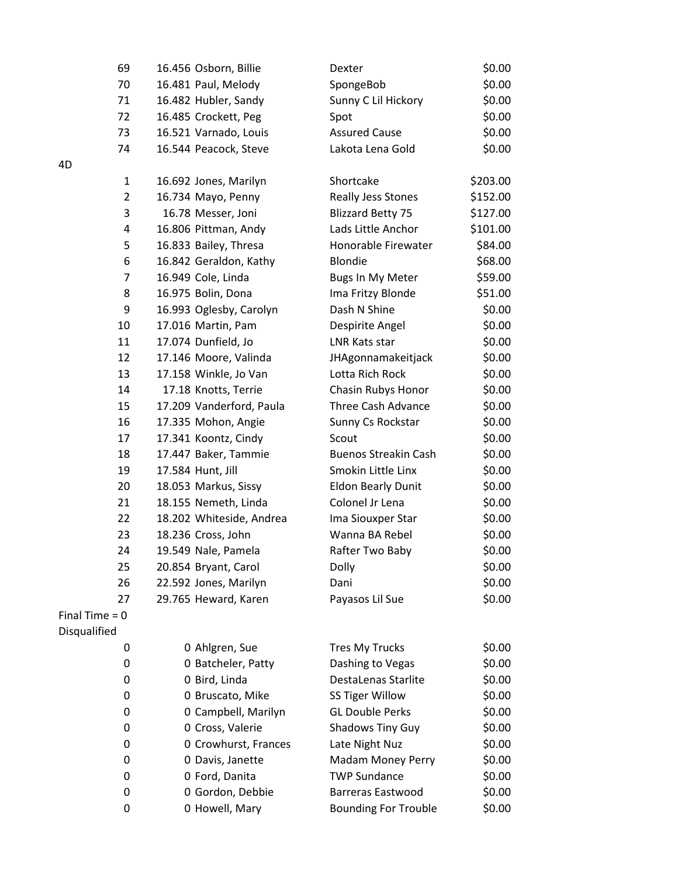| 69               | 16.456 Osborn, Billie    | Dexter                      | \$0.00   |
|------------------|--------------------------|-----------------------------|----------|
| 70               | 16.481 Paul, Melody      | SpongeBob                   | \$0.00   |
| 71               | 16.482 Hubler, Sandy     | Sunny C Lil Hickory         | \$0.00   |
| 72               | 16.485 Crockett, Peg     | Spot                        | \$0.00   |
| 73               | 16.521 Varnado, Louis    | <b>Assured Cause</b>        | \$0.00   |
| 74               | 16.544 Peacock, Steve    | Lakota Lena Gold            | \$0.00   |
| 4D               |                          |                             |          |
| $\mathbf{1}$     | 16.692 Jones, Marilyn    | Shortcake                   | \$203.00 |
| $\overline{2}$   | 16.734 Mayo, Penny       | Really Jess Stones          | \$152.00 |
| 3                | 16.78 Messer, Joni       | <b>Blizzard Betty 75</b>    | \$127.00 |
| 4                | 16.806 Pittman, Andy     | Lads Little Anchor          | \$101.00 |
| 5                | 16.833 Bailey, Thresa    | Honorable Firewater         | \$84.00  |
| 6                | 16.842 Geraldon, Kathy   | <b>Blondie</b>              | \$68.00  |
| 7                | 16.949 Cole, Linda       | Bugs In My Meter            | \$59.00  |
| 8                | 16.975 Bolin, Dona       | Ima Fritzy Blonde           | \$51.00  |
| 9                | 16.993 Oglesby, Carolyn  | Dash N Shine                | \$0.00   |
| 10               | 17.016 Martin, Pam       | Despirite Angel             | \$0.00   |
| 11               | 17.074 Dunfield, Jo      | LNR Kats star               | \$0.00   |
| 12               | 17.146 Moore, Valinda    | JHAgonnamakeitjack          | \$0.00   |
| 13               | 17.158 Winkle, Jo Van    | Lotta Rich Rock             | \$0.00   |
| 14               | 17.18 Knotts, Terrie     | Chasin Rubys Honor          | \$0.00   |
| 15               | 17.209 Vanderford, Paula | <b>Three Cash Advance</b>   | \$0.00   |
| 16               | 17.335 Mohon, Angie      | Sunny Cs Rockstar           | \$0.00   |
| 17               | 17.341 Koontz, Cindy     | Scout                       | \$0.00   |
| 18               | 17.447 Baker, Tammie     | <b>Buenos Streakin Cash</b> | \$0.00   |
| 19               | 17.584 Hunt, Jill        | Smokin Little Linx          | \$0.00   |
| 20               | 18.053 Markus, Sissy     | <b>Eldon Bearly Dunit</b>   | \$0.00   |
| 21               | 18.155 Nemeth, Linda     | Colonel Jr Lena             | \$0.00   |
| 22               | 18.202 Whiteside, Andrea | Ima Siouxper Star           | \$0.00   |
| 23               | 18.236 Cross, John       | Wanna BA Rebel              | \$0.00   |
| 24               | 19.549 Nale, Pamela      | Rafter Two Baby             | \$0.00   |
| 25               | 20.854 Bryant, Carol     | Dolly                       | \$0.00   |
| 26               | 22.592 Jones, Marilyn    | Dani                        | \$0.00   |
| 27               | 29.765 Heward, Karen     | Payasos Lil Sue             | \$0.00   |
| Final Time = $0$ |                          |                             |          |
| Disqualified     |                          |                             |          |
| 0                | 0 Ahlgren, Sue           | <b>Tres My Trucks</b>       | \$0.00   |
| 0                | 0 Batcheler, Patty       | Dashing to Vegas            | \$0.00   |
| 0                | 0 Bird, Linda            | DestaLenas Starlite         | \$0.00   |
| 0                | 0 Bruscato, Mike         | SS Tiger Willow             | \$0.00   |
| 0                | 0 Campbell, Marilyn      | <b>GL Double Perks</b>      | \$0.00   |
| 0                | 0 Cross, Valerie         | <b>Shadows Tiny Guy</b>     | \$0.00   |
| 0                | 0 Crowhurst, Frances     | Late Night Nuz              | \$0.00   |
| 0                | 0 Davis, Janette         | <b>Madam Money Perry</b>    | \$0.00   |
| 0                | 0 Ford, Danita           | <b>TWP Sundance</b>         | \$0.00   |
| 0                | 0 Gordon, Debbie         | <b>Barreras Eastwood</b>    | \$0.00   |
| 0                | 0 Howell, Mary           | <b>Bounding For Trouble</b> | \$0.00   |